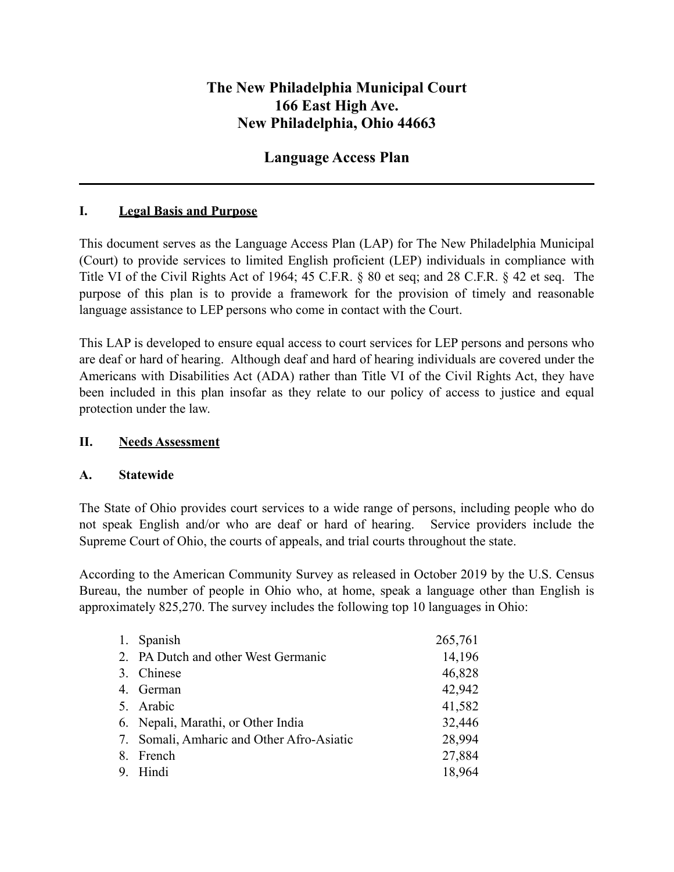# **The New Philadelphia Municipal Court 166 East High Ave. New Philadelphia, Ohio 44663**

# **Language Access Plan**

#### **I. Legal Basis and Purpose**

This document serves as the Language Access Plan (LAP) for The New Philadelphia Municipal (Court) to provide services to limited English proficient (LEP) individuals in compliance with Title VI of the Civil Rights Act of 1964; 45 C.F.R. § 80 et seq; and 28 C.F.R. § 42 et seq. The purpose of this plan is to provide a framework for the provision of timely and reasonable language assistance to LEP persons who come in contact with the Court.

This LAP is developed to ensure equal access to court services for LEP persons and persons who are deaf or hard of hearing. Although deaf and hard of hearing individuals are covered under the Americans with Disabilities Act (ADA) rather than Title VI of the Civil Rights Act, they have been included in this plan insofar as they relate to our policy of access to justice and equal protection under the law.

#### **II. Needs Assessment**

#### **A. Statewide**

The State of Ohio provides court services to a wide range of persons, including people who do not speak English and/or who are deaf or hard of hearing. Service providers include the Supreme Court of Ohio, the courts of appeals, and trial courts throughout the state.

According to the American Community Survey as released in October 2019 by the U.S. Census Bureau, the number of people in Ohio who, at home, speak a language other than English is approximately 825,270. The survey includes the following top 10 languages in Ohio:

| 1. Spanish                                | 265,761 |
|-------------------------------------------|---------|
| 2. PA Dutch and other West Germanic       | 14,196  |
| 3. Chinese                                | 46,828  |
| 4. German                                 | 42,942  |
| 5. Arabic                                 | 41,582  |
| 6. Nepali, Marathi, or Other India        | 32,446  |
| 7. Somali, Amharic and Other Afro-Asiatic | 28,994  |
| 8. French                                 | 27,884  |
| 9. Hindi                                  | 18,964  |
|                                           |         |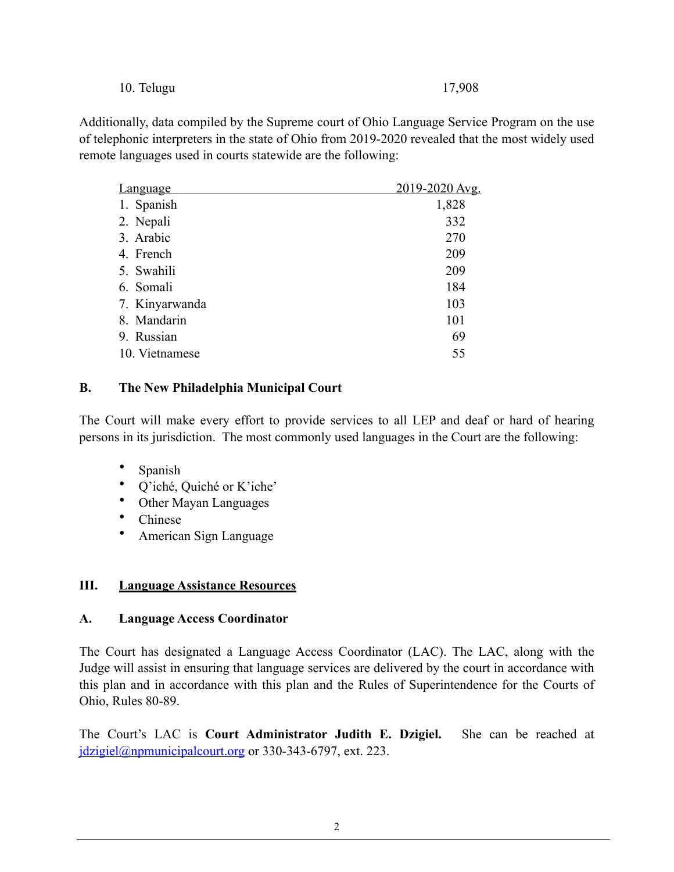#### 10. Telugu 17,908

Additionally, data compiled by the Supreme court of Ohio Language Service Program on the use of telephonic interpreters in the state of Ohio from 2019-2020 revealed that the most widely used remote languages used in courts statewide are the following:

| <b>Language</b> | 2019-2020 Avg. |
|-----------------|----------------|
| 1. Spanish      | 1,828          |
| 2. Nepali       | 332            |
| 3. Arabic       | 270            |
| 4. French       | 209            |
| 5. Swahili      | 209            |
| 6. Somali       | 184            |
| 7. Kinyarwanda  | 103            |
| 8. Mandarin     | 101            |
| 9. Russian      | 69             |
| 10. Vietnamese  | 55             |

#### **B. The New Philadelphia Municipal Court**

The Court will make every effort to provide services to all LEP and deaf or hard of hearing persons in its jurisdiction. The most commonly used languages in the Court are the following:

- Spanish
- Q'iché, Quiché or K'iche'
- Other Mayan Languages
- Chinese
- American Sign Language

#### **III. Language Assistance Resources**

#### **A. Language Access Coordinator**

The Court has designated a Language Access Coordinator (LAC). The LAC, along with the Judge will assist in ensuring that language services are delivered by the court in accordance with this plan and in accordance with this plan and the Rules of Superintendence for the Courts of Ohio, Rules 80-89.

The Court's LAC is **Court Administrator Judith E. Dzigiel.** She can be reached at jdzigiel@npmunicipalcourt.org or 330-343-6797, ext. 223.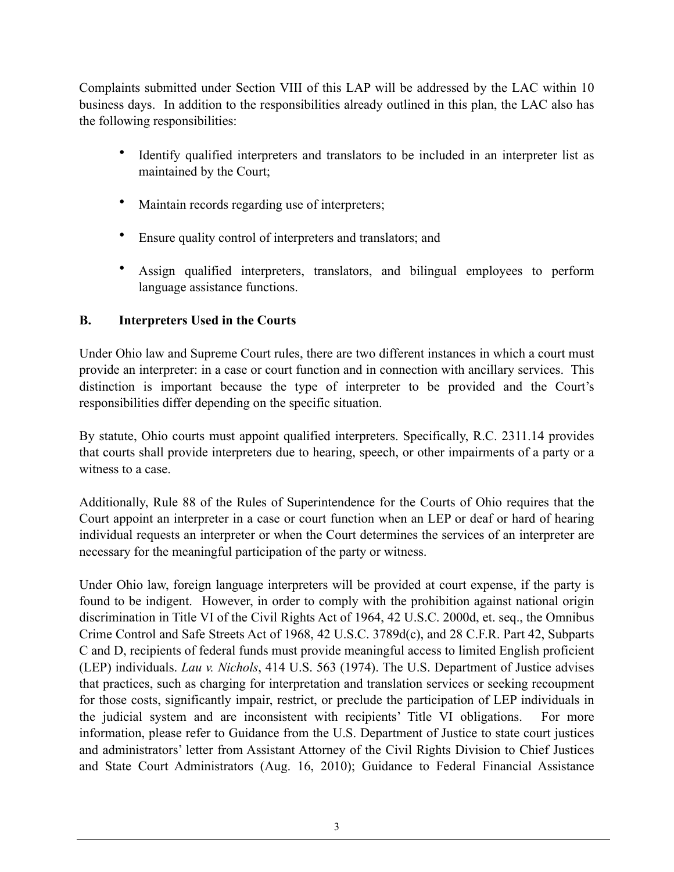Complaints submitted under Section VIII of this LAP will be addressed by the LAC within 10 business days. In addition to the responsibilities already outlined in this plan, the LAC also has the following responsibilities:

- Identify qualified interpreters and translators to be included in an interpreter list as maintained by the Court;
- Maintain records regarding use of interpreters;
- Ensure quality control of interpreters and translators; and
- Assign qualified interpreters, translators, and bilingual employees to perform language assistance functions.

## **B. Interpreters Used in the Courts**

Under Ohio law and Supreme Court rules, there are two different instances in which a court must provide an interpreter: in a case or court function and in connection with ancillary services. This distinction is important because the type of interpreter to be provided and the Court's responsibilities differ depending on the specific situation.

By statute, Ohio courts must appoint qualified interpreters. Specifically, R.C. 2311.14 provides that courts shall provide interpreters due to hearing, speech, or other impairments of a party or a witness to a case.

Additionally, Rule 88 of the Rules of Superintendence for the Courts of Ohio requires that the Court appoint an interpreter in a case or court function when an LEP or deaf or hard of hearing individual requests an interpreter or when the Court determines the services of an interpreter are necessary for the meaningful participation of the party or witness.

Under Ohio law, foreign language interpreters will be provided at court expense, if the party is found to be indigent. However, in order to comply with the prohibition against national origin discrimination in Title VI of the Civil Rights Act of 1964, 42 U.S.C. 2000d, et. seq., the Omnibus Crime Control and Safe Streets Act of 1968, 42 U.S.C. 3789d(c), and 28 C.F.R. Part 42, Subparts C and D, recipients of federal funds must provide meaningful access to limited English proficient (LEP) individuals. *Lau v. Nichols*, 414 U.S. 563 (1974). The U.S. Department of Justice advises that practices, such as charging for interpretation and translation services or seeking recoupment for those costs, significantly impair, restrict, or preclude the participation of LEP individuals in the judicial system and are inconsistent with recipients' Title VI obligations. For more information, please refer to Guidance from the U.S. Department of Justice to state court justices and administrators' letter from Assistant Attorney of the Civil Rights Division to Chief Justices and State Court Administrators (Aug. 16, 2010); Guidance to Federal Financial Assistance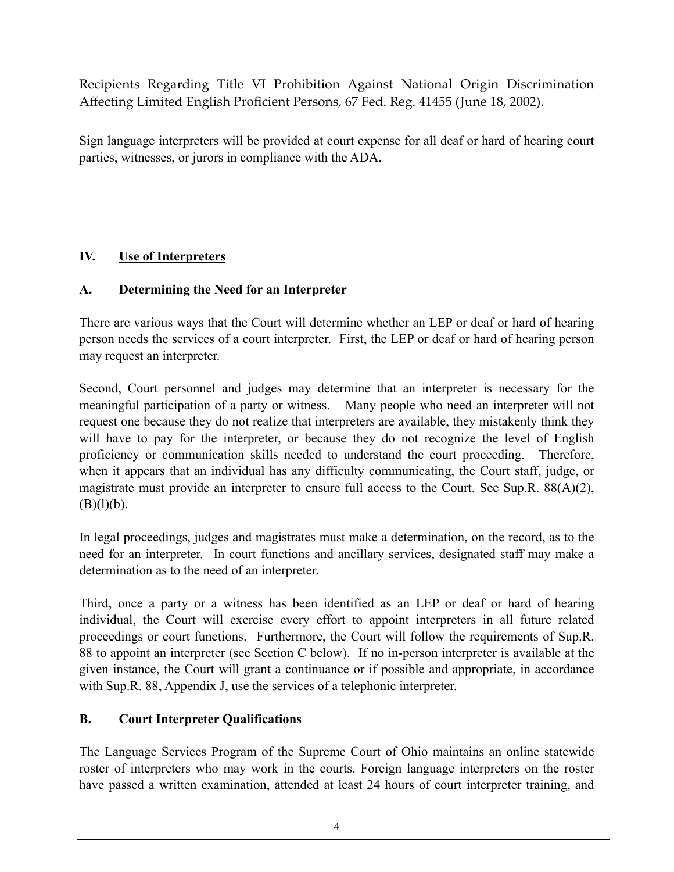Recipients Regarding Title VI Prohibition Against National Origin Discrimination Affecting Limited English Proficient Persons, 67 Fed. Reg. 41455 (June 18, 2002).

Sign language interpreters will be provided at court expense for all deaf or hard of hearing court parties, witnesses, or jurors in compliance with the ADA.

## **IV. Use of Interpreters**

## **A. Determining the Need for an Interpreter**

There are various ways that the Court will determine whether an LEP or deaf or hard of hearing person needs the services of a court interpreter. First, the LEP or deaf or hard of hearing person may request an interpreter.

Second, Court personnel and judges may determine that an interpreter is necessary for the meaningful participation of a party or witness. Many people who need an interpreter will not request one because they do not realize that interpreters are available, they mistakenly think they will have to pay for the interpreter, or because they do not recognize the level of English proficiency or communication skills needed to understand the court proceeding. Therefore, when it appears that an individual has any difficulty communicating, the Court staff, judge, or magistrate must provide an interpreter to ensure full access to the Court. See Sup.R. 88(A)(2),  $(B)(l)(b)$ .

In legal proceedings, judges and magistrates must make a determination, on the record, as to the need for an interpreter. In court functions and ancillary services, designated staff may make a determination as to the need of an interpreter.

Third, once a party or a witness has been identified as an LEP or deaf or hard of hearing individual, the Court will exercise every effort to appoint interpreters in all future related proceedings or court functions. Furthermore, the Court will follow the requirements of Sup.R. 88 to appoint an interpreter (see Section C below). If no in-person interpreter is available at the given instance, the Court will grant a continuance or if possible and appropriate, in accordance with Sup.R. 88, Appendix J, use the services of a telephonic interpreter.

## **B. Court Interpreter Qualifications**

The Language Services Program of the Supreme Court of Ohio maintains an online statewide roster of interpreters who may work in the courts. Foreign language interpreters on the roster have passed a written examination, attended at least 24 hours of court interpreter training, and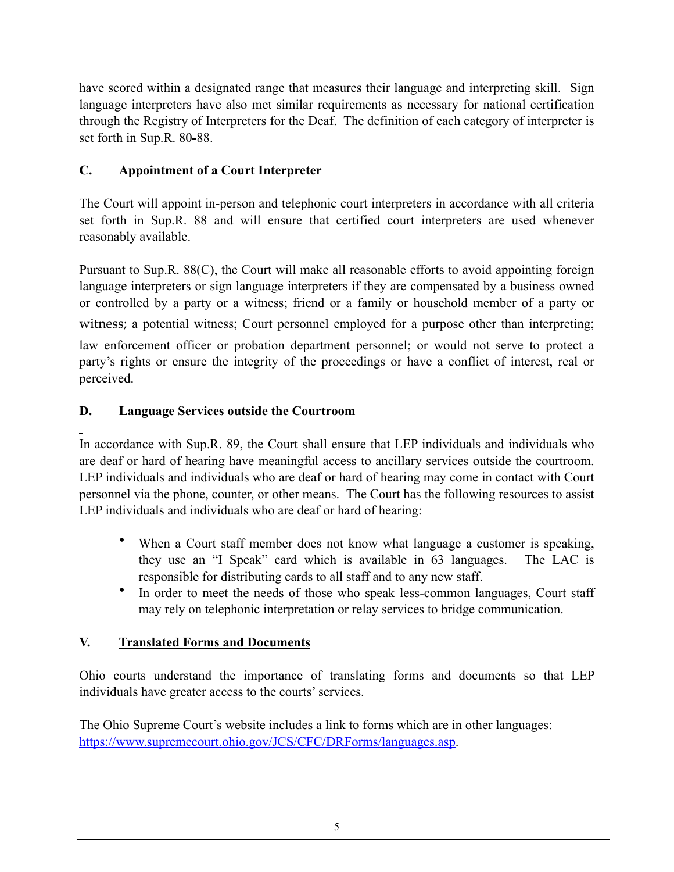have scored within a designated range that measures their language and interpreting skill. Sign language interpreters have also met similar requirements as necessary for national certification through the Registry of Interpreters for the Deaf. The definition of each category of interpreter is set forth in Sup.R. 80-88.

# **C. Appointment of a Court Interpreter**

The Court will appoint in-person and telephonic court interpreters in accordance with all criteria set forth in Sup.R. 88 and will ensure that certified court interpreters are used whenever reasonably available.

Pursuant to Sup.R. 88(C), the Court will make all reasonable efforts to avoid appointing foreign language interpreters or sign language interpreters if they are compensated by a business owned or controlled by a party or a witness; friend or a family or household member of a party or witness; a potential witness; Court personnel employed for a purpose other than interpreting; law enforcement officer or probation department personnel; or would not serve to protect a party's rights or ensure the integrity of the proceedings or have a conflict of interest, real or perceived.

# **D. Language Services outside the Courtroom**

In accordance with Sup.R. 89, the Court shall ensure that LEP individuals and individuals who are deaf or hard of hearing have meaningful access to ancillary services outside the courtroom. LEP individuals and individuals who are deaf or hard of hearing may come in contact with Court personnel via the phone, counter, or other means. The Court has the following resources to assist LEP individuals and individuals who are deaf or hard of hearing:

- When a Court staff member does not know what language a customer is speaking, they use an "I Speak" card which is available in 63 languages. The LAC is responsible for distributing cards to all staff and to any new staff.
- In order to meet the needs of those who speak less-common languages, Court staff may rely on telephonic interpretation or relay services to bridge communication.

# **V. Translated Forms and Documents**

Ohio courts understand the importance of translating forms and documents so that LEP individuals have greater access to the courts' services.

The Ohio Supreme Court's website includes a link to forms which are in other languages: https://www.supremecourt.ohio.gov/JCS/CFC/DRForms/languages.asp.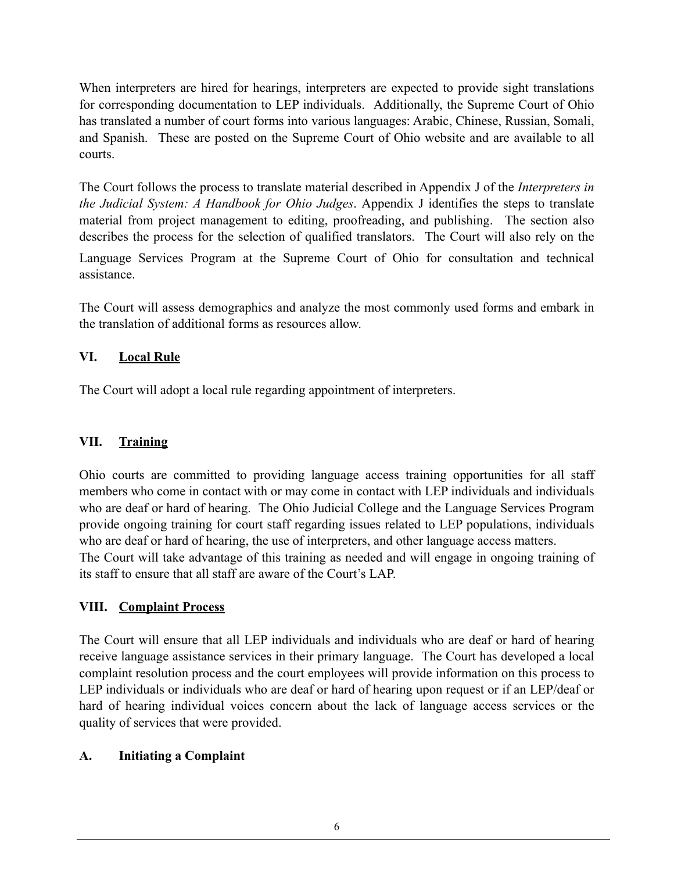When interpreters are hired for hearings, interpreters are expected to provide sight translations for corresponding documentation to LEP individuals. Additionally, the Supreme Court of Ohio has translated a number of court forms into various languages: Arabic, Chinese, Russian, Somali, and Spanish. These are posted on the Supreme Court of Ohio website and are available to all courts.

The Court follows the process to translate material described in Appendix J of the *Interpreters in the Judicial System: A Handbook for Ohio Judges*. Appendix J identifies the steps to translate material from project management to editing, proofreading, and publishing. The section also describes the process for the selection of qualified translators. The Court will also rely on the

Language Services Program at the Supreme Court of Ohio for consultation and technical assistance.

The Court will assess demographics and analyze the most commonly used forms and embark in the translation of additional forms as resources allow.

## **VI. Local Rule**

The Court will adopt a local rule regarding appointment of interpreters.

# **VII. Training**

Ohio courts are committed to providing language access training opportunities for all staff members who come in contact with or may come in contact with LEP individuals and individuals who are deaf or hard of hearing. The Ohio Judicial College and the Language Services Program provide ongoing training for court staff regarding issues related to LEP populations, individuals who are deaf or hard of hearing, the use of interpreters, and other language access matters. The Court will take advantage of this training as needed and will engage in ongoing training of its staff to ensure that all staff are aware of the Court's LAP.

## **VIII. Complaint Process**

The Court will ensure that all LEP individuals and individuals who are deaf or hard of hearing receive language assistance services in their primary language. The Court has developed a local complaint resolution process and the court employees will provide information on this process to LEP individuals or individuals who are deaf or hard of hearing upon request or if an LEP/deaf or hard of hearing individual voices concern about the lack of language access services or the quality of services that were provided.

## **A. Initiating a Complaint**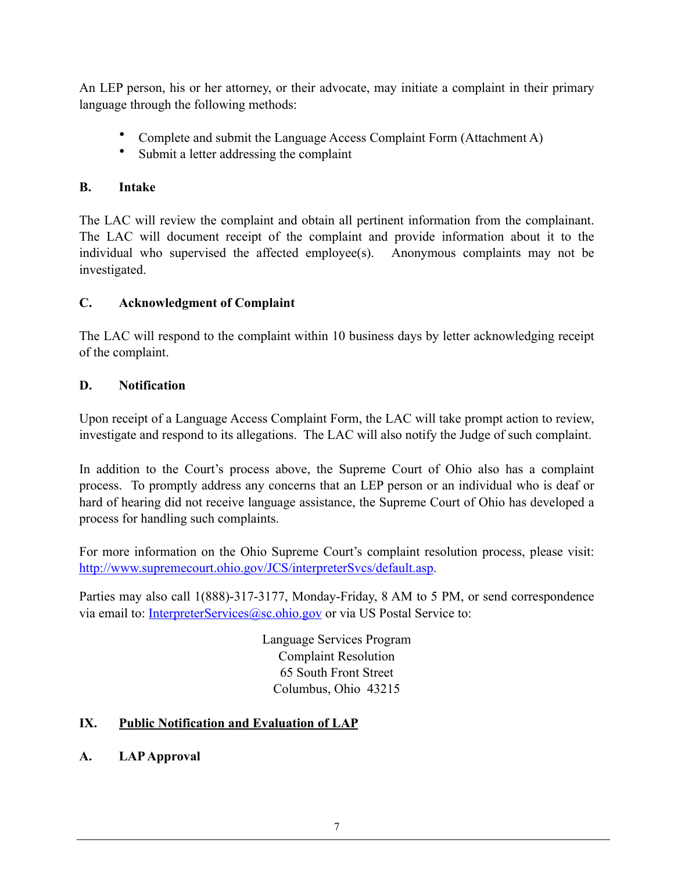An LEP person, his or her attorney, or their advocate, may initiate a complaint in their primary language through the following methods:

- Complete and submit the Language Access Complaint Form (Attachment A)
- Submit a letter addressing the complaint

# **B. Intake**

The LAC will review the complaint and obtain all pertinent information from the complainant. The LAC will document receipt of the complaint and provide information about it to the individual who supervised the affected employee(s). Anonymous complaints may not be investigated.

# **C. Acknowledgment of Complaint**

The LAC will respond to the complaint within 10 business days by letter acknowledging receipt of the complaint.

## **D. Notification**

Upon receipt of a Language Access Complaint Form, the LAC will take prompt action to review, investigate and respond to its allegations. The LAC will also notify the Judge of such complaint.

In addition to the Court's process above, the Supreme Court of Ohio also has a complaint process. To promptly address any concerns that an LEP person or an individual who is deaf or hard of hearing did not receive language assistance, the Supreme Court of Ohio has developed a process for handling such complaints.

For more information on the Ohio Supreme Court's complaint resolution process, please visit: http://www.supremecourt.ohio.gov/JCS/interpreterSvcs/default.asp.

Parties may also call 1(888)-317-3177, Monday-Friday, 8 AM to 5 PM, or send correspondence via email to: InterpreterServices@sc.ohio.gov or via US Postal Service to:

> Language Services Program Complaint Resolution 65 South Front Street Columbus, Ohio 43215

# **IX. Public Notification and Evaluation of LAP**

**A. LAP Approval**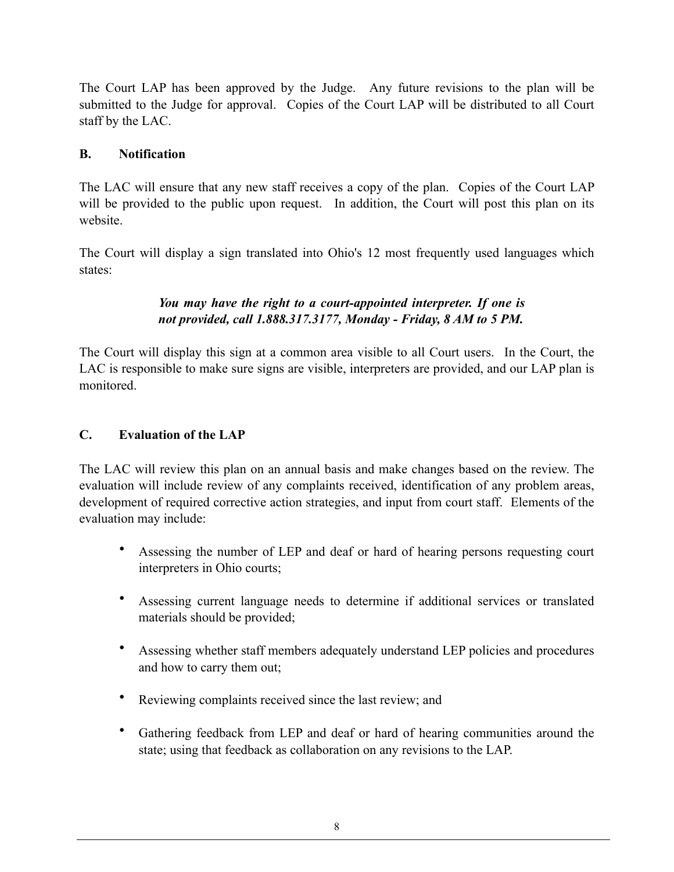The Court LAP has been approved by the Judge. Any future revisions to the plan will be submitted to the Judge for approval. Copies of the Court LAP will be distributed to all Court staff by the LAC.

#### **B. Notification**

The LAC will ensure that any new staff receives a copy of the plan. Copies of the Court LAP will be provided to the public upon request. In addition, the Court will post this plan on its website.

The Court will display a sign translated into Ohio's 12 most frequently used languages which states:

## *You may have the right to a court-appointed interpreter. If one is not provided, call 1.888.317.3177, Monday - Friday, 8 AM to 5 PM.*

The Court will display this sign at a common area visible to all Court users. In the Court, the LAC is responsible to make sure signs are visible, interpreters are provided, and our LAP plan is monitored.

#### **C. Evaluation of the LAP**

The LAC will review this plan on an annual basis and make changes based on the review. The evaluation will include review of any complaints received, identification of any problem areas, development of required corrective action strategies, and input from court staff. Elements of the evaluation may include:

- Assessing the number of LEP and deaf or hard of hearing persons requesting court interpreters in Ohio courts;
- Assessing current language needs to determine if additional services or translated materials should be provided;
- Assessing whether staff members adequately understand LEP policies and procedures and how to carry them out;
- Reviewing complaints received since the last review; and
- Gathering feedback from LEP and deaf or hard of hearing communities around the state; using that feedback as collaboration on any revisions to the LAP.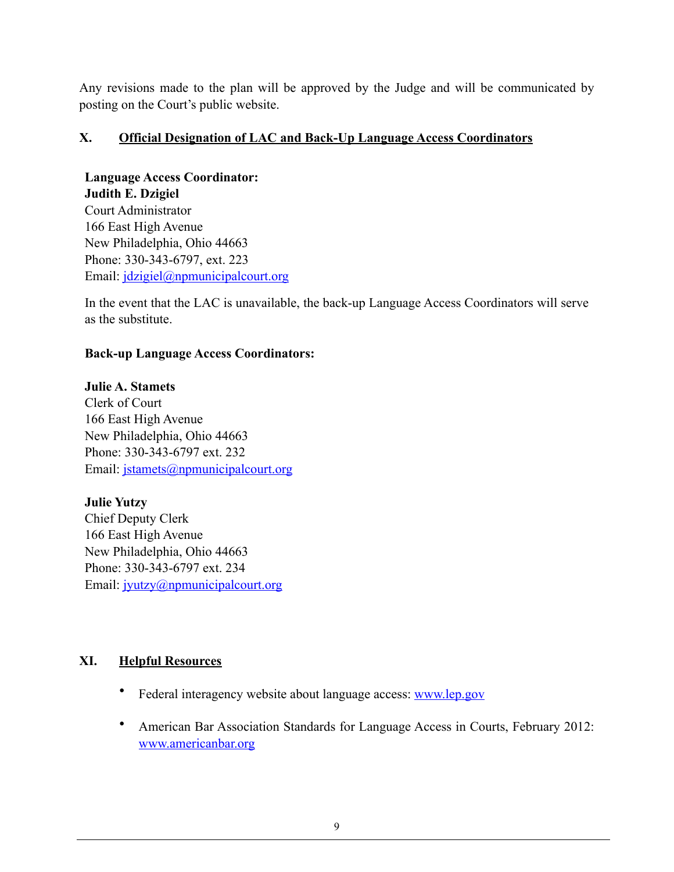Any revisions made to the plan will be approved by the Judge and will be communicated by posting on the Court's public website.

#### **X. Official Designation of LAC and Back-Up Language Access Coordinators**

**Language Access Coordinator: Judith E. Dzigiel** Court Administrator 166 East High Avenue New Philadelphia, Ohio 44663 Phone: 330-343-6797, ext. 223 Email: *jdzigiel@npmunicipalcourt.org* 

In the event that the LAC is unavailable, the back-up Language Access Coordinators will serve as the substitute.

#### **Back-up Language Access Coordinators:**

#### **Julie A. Stamets**

Clerk of Court 166 East High Avenue New Philadelphia, Ohio 44663 Phone: 330-343-6797 ext. 232 Email: jstamets@npmunicipalcourt.org

## **Julie Yutzy**

Chief Deputy Clerk 166 East High Avenue New Philadelphia, Ohio 44663 Phone: 330-343-6797 ext. 234 Email: jyutzy@npmunicipalcourt.org

## **XI. Helpful Resources**

- Federal interagency website about language access: www.lep.gov
- American Bar Association Standards for Language Access in Courts, February 2012: www.americanbar.org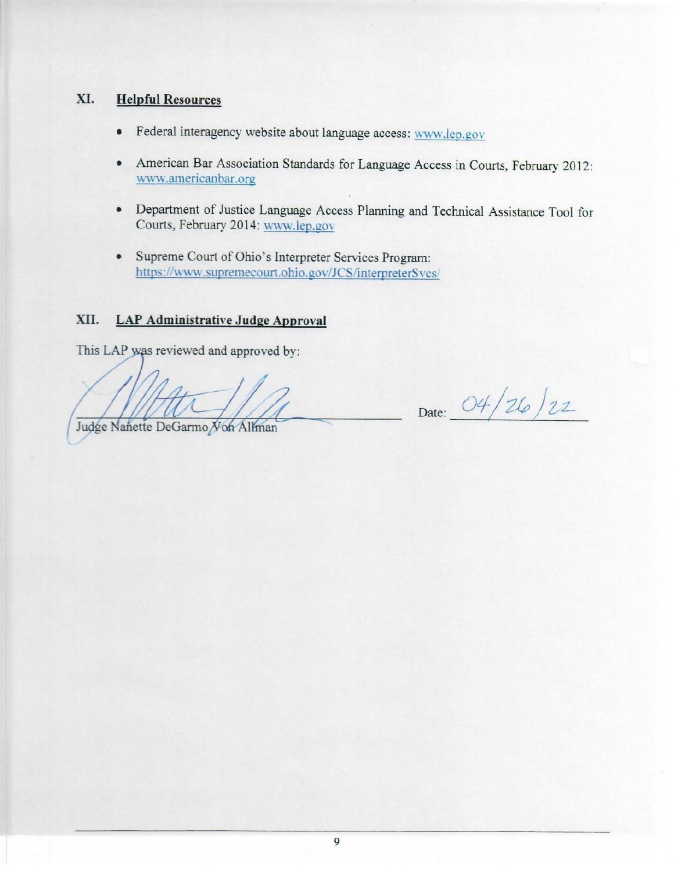#### XI. **Helpful Resources**

- Federal interagency website about language access: www.lep.gov  $\bullet$
- American Bar Association Standards for Language Access in Courts, February 2012:  $\bullet$ www.americanbar.org
- Department of Justice Language Access Planning and Technical Assistance Tool for Courts, February 2014: www.lep.gov
- Supreme Court of Ohio's Interpreter Services Program: https://www.supremecourt.ohio.gov/JCS/interpreterSvcs/

#### XII. **LAP Administrative Judge Approval**

This LAP was reviewed and approved by:

Date: 04/26/22

Judge Nanette DeGarmo Von Allman